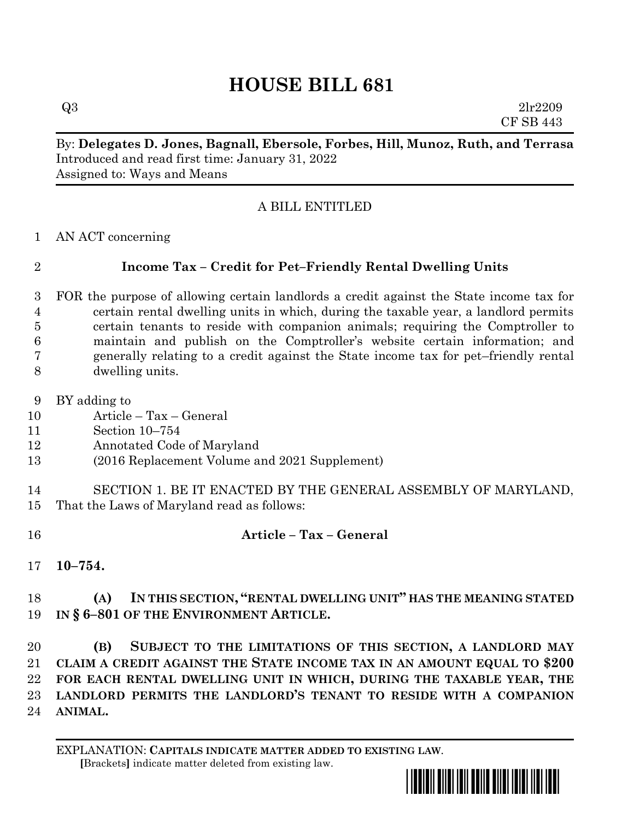# **HOUSE BILL 681**

 $Q3$  2lr2209 CF SB 443

#### By: **Delegates D. Jones, Bagnall, Ebersole, Forbes, Hill, Munoz, Ruth, and Terrasa** Introduced and read first time: January 31, 2022 Assigned to: Ways and Means

### A BILL ENTITLED

AN ACT concerning

# **Income Tax – Credit for Pet–Friendly Rental Dwelling Units**

- FOR the purpose of allowing certain landlords a credit against the State income tax for certain rental dwelling units in which, during the taxable year, a landlord permits certain tenants to reside with companion animals; requiring the Comptroller to maintain and publish on the Comptroller's website certain information; and generally relating to a credit against the State income tax for pet–friendly rental dwelling units.
- BY adding to
- Article Tax General
- Section 10–754
- Annotated Code of Maryland
- (2016 Replacement Volume and 2021 Supplement)
- SECTION 1. BE IT ENACTED BY THE GENERAL ASSEMBLY OF MARYLAND, That the Laws of Maryland read as follows:
- **Article – Tax – General**
- **10–754.**

## **(A) IN THIS SECTION, "RENTAL DWELLING UNIT" HAS THE MEANING STATED IN § 6–801 OF THE ENVIRONMENT ARTICLE.**

 **(B) SUBJECT TO THE LIMITATIONS OF THIS SECTION, A LANDLORD MAY CLAIM A CREDIT AGAINST THE STATE INCOME TAX IN AN AMOUNT EQUAL TO \$200 FOR EACH RENTAL DWELLING UNIT IN WHICH, DURING THE TAXABLE YEAR, THE LANDLORD PERMITS THE LANDLORD'S TENANT TO RESIDE WITH A COMPANION ANIMAL.**

EXPLANATION: **CAPITALS INDICATE MATTER ADDED TO EXISTING LAW**.  **[**Brackets**]** indicate matter deleted from existing law.

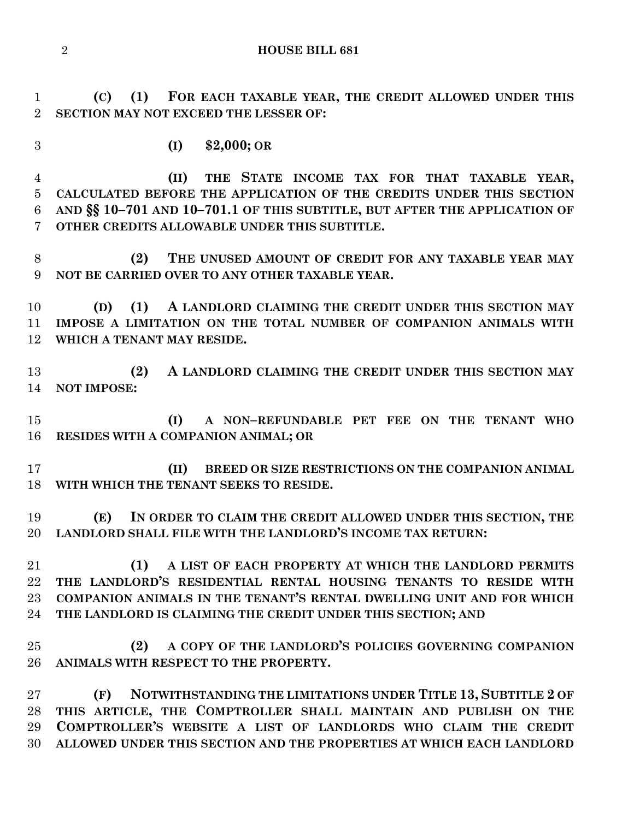**HOUSE BILL 681**

 **(C) (1) FOR EACH TAXABLE YEAR, THE CREDIT ALLOWED UNDER THIS SECTION MAY NOT EXCEED THE LESSER OF:**

**(I) \$2,000; OR**

 **(II) THE STATE INCOME TAX FOR THAT TAXABLE YEAR, CALCULATED BEFORE THE APPLICATION OF THE CREDITS UNDER THIS SECTION AND §§ 10–701 AND 10–701.1 OF THIS SUBTITLE, BUT AFTER THE APPLICATION OF OTHER CREDITS ALLOWABLE UNDER THIS SUBTITLE.**

 **(2) THE UNUSED AMOUNT OF CREDIT FOR ANY TAXABLE YEAR MAY NOT BE CARRIED OVER TO ANY OTHER TAXABLE YEAR.**

 **(D) (1) A LANDLORD CLAIMING THE CREDIT UNDER THIS SECTION MAY IMPOSE A LIMITATION ON THE TOTAL NUMBER OF COMPANION ANIMALS WITH WHICH A TENANT MAY RESIDE.**

 **(2) A LANDLORD CLAIMING THE CREDIT UNDER THIS SECTION MAY NOT IMPOSE:**

 **(I) A NON–REFUNDABLE PET FEE ON THE TENANT WHO RESIDES WITH A COMPANION ANIMAL; OR**

 **(II) BREED OR SIZE RESTRICTIONS ON THE COMPANION ANIMAL WITH WHICH THE TENANT SEEKS TO RESIDE.**

 **(E) IN ORDER TO CLAIM THE CREDIT ALLOWED UNDER THIS SECTION, THE LANDLORD SHALL FILE WITH THE LANDLORD'S INCOME TAX RETURN:**

 **(1) A LIST OF EACH PROPERTY AT WHICH THE LANDLORD PERMITS THE LANDLORD'S RESIDENTIAL RENTAL HOUSING TENANTS TO RESIDE WITH COMPANION ANIMALS IN THE TENANT'S RENTAL DWELLING UNIT AND FOR WHICH THE LANDLORD IS CLAIMING THE CREDIT UNDER THIS SECTION; AND**

 **(2) A COPY OF THE LANDLORD'S POLICIES GOVERNING COMPANION ANIMALS WITH RESPECT TO THE PROPERTY.**

 **(F) NOTWITHSTANDING THE LIMITATIONS UNDER TITLE 13, SUBTITLE 2 OF THIS ARTICLE, THE COMPTROLLER SHALL MAINTAIN AND PUBLISH ON THE COMPTROLLER'S WEBSITE A LIST OF LANDLORDS WHO CLAIM THE CREDIT ALLOWED UNDER THIS SECTION AND THE PROPERTIES AT WHICH EACH LANDLORD**